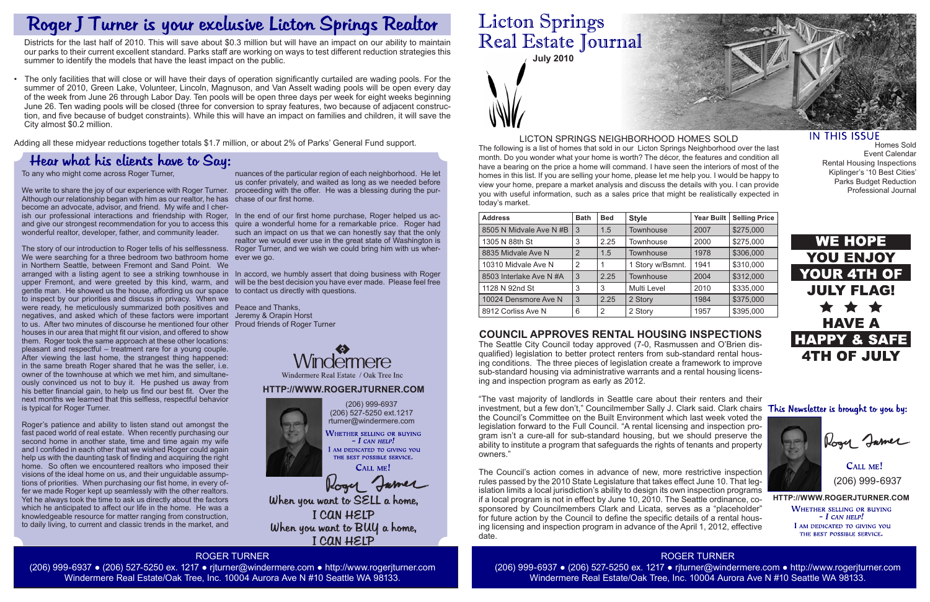

The following is a list of homes that sold in our Licton Springs Neighborhood over the last month. Do you wonder what your home is worth? The décor, the features and condition all have a bearing on the price a home will command. I have seen the interiors of most of the homes in this list. If you are selling your home, please let me help you. I would be happy to view your home, prepare a market analysis and discuss the details with you. I can provide you with useful information, such as a sales price that might be realistically expected in today's market.

> **HTTP://WWW.ROGERJTURNER.COM WHETHER SELLING OR BUYING**  $-$  I can help! I AM DEDICATED TO GIVING YOU THE BEST POSSIBLE SERVICE.

CALL ME! (206) 999-6937

## LICTON SPRINGS NEIGHBORHOOD HOMES SOLD

(206) 999-6937 (206) 527-5250 ext.1217 rturner@windermere.com WHETHER SELLING OR BUYING  $-I$  CAN HELP!

I AM DEDICATED TO GIVING YOU THE BEST POSSIBLE SERVICE.

CALL ME! Roger Jamer

When you want to SELL a home, I CAN HELP When you want to BUY a home, I CAN HELP

# **Licton Springs** Real Estate Journal

| <b>Address</b>          | <b>Bath</b>    | <b>Bed</b> | <b>Style</b>     | <b>Year Built</b> | <b>Selling Price</b> |
|-------------------------|----------------|------------|------------------|-------------------|----------------------|
| 8505 N Midvale Ave N #B | 3              | 1.5        | <b>Townhouse</b> | 2007              | \$275,000            |
| 1305 N 88th St          | 3              | 2.25       | Townhouse        | 2000              | \$275,000            |
| 8835 Midvale Ave N      | $\overline{2}$ | 1.5        | <b>Townhouse</b> | 1978              | \$306,000            |
| 10310 Midvale Ave N     | 2              |            | 1 Story w/Bsmnt. | 1941              | \$310,000            |
| 8503 Interlake Ave N #A | 3              | 2.25       | <b>Townhouse</b> | 2004              | \$312,000            |
| 1128 N 92nd St          | 3              | 3          | Multi Level      | 2010              | \$335,000            |
| 10024 Densmore Ave N    | 3              | 2.25       | 2 Story          | 1984              | \$375,000            |
| 8912 Corliss Ave N      | 6              | 2          | 2 Story          | 1957              | \$395,000            |

ROGER TURNER (206) 999-6937 ● (206) 527-5250 ex. 1217 ● rjturner@windermere.com ● http://www.rogerjturner.com Windermere Real Estate/Oak Tree, Inc. 10004 Aurora Ave N #10 Seattle WA 98133.

ROGER TURNER (206) 999-6937 ● (206) 527-5250 ex. 1217 ● rjturner@windermere.com ● http://www.rogerjturner.com Windermere Real Estate/Oak Tree, Inc. 10004 Aurora Ave N #10 Seattle WA 98133.



## **IN THIS ISSUE**

Homes Sold Event Calendar Rental Housing Inspections Kiplinger's '10 Best Cities' Parks Budget Reduction Professional Journal





Roger Jamer

To any who might come across Roger Turner,

We write to share the joy of our experience with Roger Turner. proceeding with the offer. He was a blessing during the pur-Although our relationship began with him as our realtor, he has chase of our first home. become an advocate, advisor, and friend. My wife and I cherish our professional interactions and friendship with Roger, In the end of our first home purchase, Roger helped us acand give our strongest recommendation for you to access this quire a wonderful home for a remarkable price. Roger had wonderful realtor, developer, father, and community leader.

The story of our introduction to Roger tells of his selflessness. We were searching for a three bedroom two bathroom home in Northern Seattle, between Fremont and Sand Point. We arranged with a listing agent to see a striking townhouse in In accord, we humbly assert that doing business with Roger upper Fremont, and were greeted by this kind, warm, and will be the best decision you have ever made. Please feel free gentle man. He showed us the house, affording us our space to contact us directly with questions. to inspect by our priorities and discuss in privacy. When we were ready, he meticulously summarized both positives and Peace and Thanks, negatives, and asked which of these factors were important Jeremy & Orapin Horst to us. After two minutes of discourse he mentioned four other Proud friends of Roger Turner houses in our area that might fit our vision, and offered to show them. Roger took the same approach at these other locations: pleasant and respectful – treatment rare for a young couple. After viewing the last home, the strangest thing happened: in the same breath Roger shared that he was the seller, i.e. owner of the townhouse at which we met him, and simultaneously convinced us not to buy it. He pushed us away from his better financial gain, to help us find our best fit. Over the next months we learned that this selfless, respectful behavior is typical for Roger Turner.

Roger's patience and ability to listen stand out amongst the fast paced world of real estate. When recently purchasing our second home in another state, time and time again my wife and I confided in each other that we wished Roger could again help us with the daunting task of finding and acquiring the right home. So often we encountered realtors who imposed their visions of the ideal home on us, and their unguidable assumptions of priorities. When purchasing our fist home, in every offer we made Roger kept up seamlessly with the other realtors. Yet he always took the time to ask us directly about the factors which he anticipated to affect our life in the home. He was a knowledgeable resource for matter ranging from construction, to daily living, to current and classic trends in the market, and

nuances of the particular region of each neighborhood. He let us confer privately, and waited as long as we needed before

such an impact on us that we can honestly say that the only realtor we would ever use in the great state of Washington is Roger Turner, and we wish we could bring him with us wherever we go.



# **COUNCIL APPROVES RENTAL HOUSING INSPECTIONS**

The Seattle City Council today approved (7-0, Rasmussen and O'Brien disqualified) legislation to better protect renters from sub-standard rental housing conditions. The three pieces of legislation create a framework to improve sub-standard housing via administrative warrants and a rental housing licensing and inspection program as early as 2012.

"The vast majority of landlords in Seattle care about their renters and their investment, but a few don't," Councilmember Sally J. Clark said. Clark chairs This Newsletter is brought to you by: the Council's Committee on the Built Environment which last week voted the legislation forward to the Full Council. "A rental licensing and inspection program isn't a cure-all for sub-standard housing, but we should preserve the ability to institute a program that safeguards the rights of tenants and property owners."

The Council's action comes in advance of new, more restrictive inspection rules passed by the 2010 State Legislature that takes effect June 10. That legislation limits a local jurisdiction's ability to design its own inspection programs if a local program is not in effect by June 10, 2010. The Seattle ordinance, cosponsored by Councilmembers Clark and Licata, serves as a "placeholder" for future action by the Council to define the specific details of a rental housing licensing and inspection program in advance of the April 1, 2012, effective date.

# Roger J Turner is your exclusive Licton Springs Realtor

Districts for the last half of 2010. This will save about \$0.3 million but will have an impact on our ability to maintain our parks to their current excellent standard. Parks staff are working on ways to test different reduction strategies this summer to identify the models that have the least impact on the public.

• The only facilities that will close or will have their days of operation significantly curtailed are wading pools. For the summer of 2010, Green Lake, Volunteer, Lincoln, Magnuson, and Van Asselt wading pools will be open every day of the week from June 26 through Labor Day. Ten pools will be open three days per week for eight weeks beginning June 26. Ten wading pools will be closed (three for conversion to spray features, two because of adjacent construction, and five because of budget constraints). While this will have an impact on families and children, it will save the City almost \$0.2 million.

Adding all these midyear reductions together totals \$1.7 million, or about 2% of Parks' General Fund support.

# Hear what his clients have to Say: